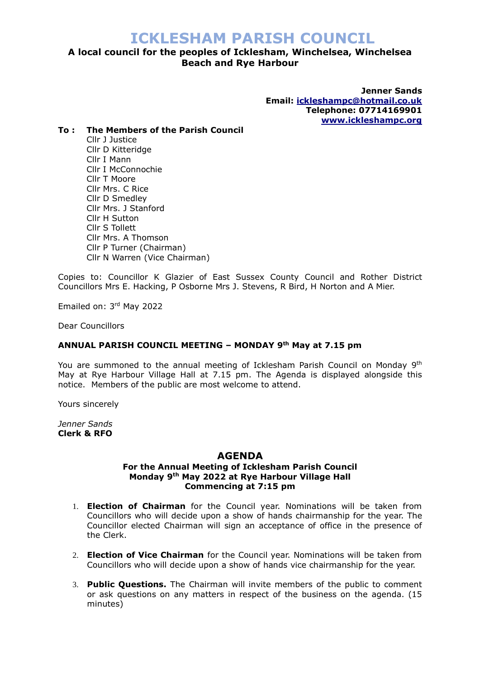## **A local council for the peoples of Icklesham, Winchelsea, Winchelsea Beach and Rye Harbour**

**Jenner Sands Email: [ickleshampc@hotmail.co.uk](mailto:ickleshampc@hotmail.co.uk) Telephone: 07714169901 [www.ickleshampc.org](http://www.ickleshampc.org/)**

#### **To : The Members of the Parish Council**

Cllr J Justice Cllr D Kitteridge Cllr I Mann Cllr I McConnochie Cllr T Moore Cllr Mrs. C Rice Cllr D Smedley Cllr Mrs. J Stanford Cllr H Sutton Cllr S Tollett Cllr Mrs. A Thomson Cllr P Turner (Chairman) Cllr N Warren (Vice Chairman)

Copies to: Councillor K Glazier of East Sussex County Council and Rother District Councillors Mrs E. Hacking, P Osborne Mrs J. Stevens, R Bird, H Norton and A Mier.

Emailed on: 3rd May 2022

Dear Councillors

#### **ANNUAL PARISH COUNCIL MEETING – MONDAY 9 th May at 7.15 pm**

You are summoned to the annual meeting of Icklesham Parish Council on Monday 9<sup>th</sup> May at Rye Harbour Village Hall at 7.15 pm. The Agenda is displayed alongside this notice. Members of the public are most welcome to attend.

Yours sincerely

*Jenner Sands* **Clerk & RFO**

#### **AGENDA**

#### **For the Annual Meeting of Icklesham Parish Council Monday 9th May 2022 at Rye Harbour Village Hall Commencing at 7:15 pm**

- 1. **Election of Chairman** for the Council year. Nominations will be taken from Councillors who will decide upon a show of hands chairmanship for the year. The Councillor elected Chairman will sign an acceptance of office in the presence of the Clerk.
- 2. **Election of Vice Chairman** for the Council year. Nominations will be taken from Councillors who will decide upon a show of hands vice chairmanship for the year.
- 3. **Public Questions.** The Chairman will invite members of the public to comment or ask questions on any matters in respect of the business on the agenda. (15 minutes)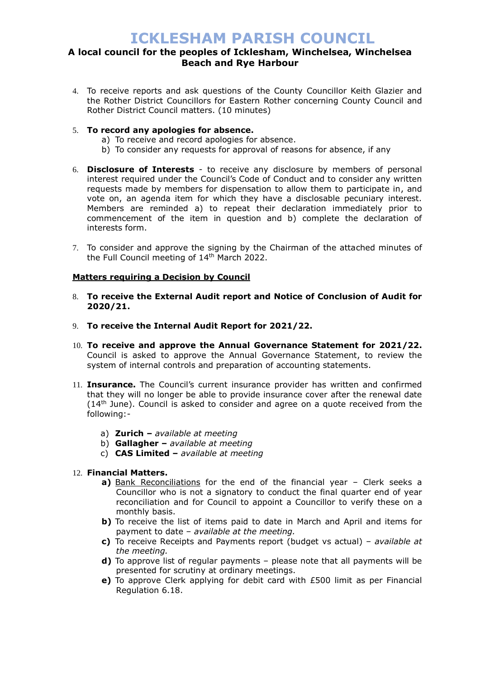### **A local council for the peoples of Icklesham, Winchelsea, Winchelsea Beach and Rye Harbour**

- 4. To receive reports and ask questions of the County Councillor Keith Glazier and the Rother District Councillors for Eastern Rother concerning County Council and Rother District Council matters. (10 minutes)
- 5. **To record any apologies for absence.**
	- a) To receive and record apologies for absence.
	- b) To consider any requests for approval of reasons for absence, if any
- 6. **Disclosure of Interests** to receive any disclosure by members of personal interest required under the Council's Code of Conduct and to consider any written requests made by members for dispensation to allow them to participate in, and vote on, an agenda item for which they have a disclosable pecuniary interest. Members are reminded a) to repeat their declaration immediately prior to commencement of the item in question and b) complete the declaration of interests form.
- 7. To consider and approve the signing by the Chairman of the attached minutes of the Full Council meeting of 14th March 2022.

#### **Matters requiring a Decision by Council**

- 8. **To receive the External Audit report and Notice of Conclusion of Audit for 2020/21.**
- 9. **To receive the Internal Audit Report for 2021/22.**
- 10. **To receive and approve the Annual Governance Statement for 2021/22.**  Council is asked to approve the Annual Governance Statement, to review the system of internal controls and preparation of accounting statements.
- 11. **Insurance.** The Council's current insurance provider has written and confirmed that they will no longer be able to provide insurance cover after the renewal date (14th June). Council is asked to consider and agree on a quote received from the following:
	- a) **Zurich –** *available at meeting*
	- b) **Gallagher –** *available at meeting*
	- c) **CAS Limited –** *available at meeting*

#### 12. **Financial Matters.**

- **a)** Bank Reconciliations for the end of the financial year Clerk seeks a Councillor who is not a signatory to conduct the final quarter end of year reconciliation and for Council to appoint a Councillor to verify these on a monthly basis.
- **b)** To receive the list of items paid to date in March and April and items for payment to date – *available at the meeting.*
- **c)** To receive Receipts and Payments report (budget vs actual) *available at the meeting.*
- **d)** To approve list of regular payments please note that all payments will be presented for scrutiny at ordinary meetings.
- **e)** To approve Clerk applying for debit card with £500 limit as per Financial Regulation 6.18.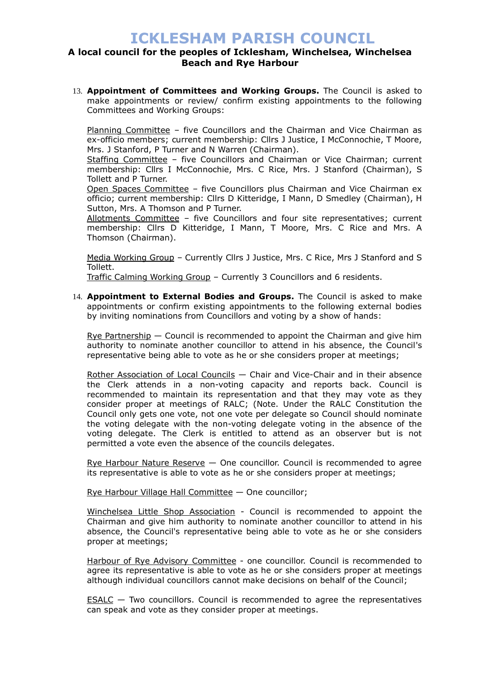### **A local council for the peoples of Icklesham, Winchelsea, Winchelsea Beach and Rye Harbour**

13. **Appointment of Committees and Working Groups.** The Council is asked to make appointments or review/ confirm existing appointments to the following Committees and Working Groups:

Planning Committee – five Councillors and the Chairman and Vice Chairman as ex-officio members; current membership: Cllrs J Justice, I McConnochie, T Moore, Mrs. J Stanford, P Turner and N Warren (Chairman).

Staffing Committee - five Councillors and Chairman or Vice Chairman; current membership: Cllrs I McConnochie, Mrs. C Rice, Mrs. J Stanford (Chairman), S Tollett and P Turner.

Open Spaces Committee – five Councillors plus Chairman and Vice Chairman ex officio; current membership: Cllrs D Kitteridge, I Mann, D Smedley (Chairman), H Sutton, Mrs. A Thomson and P Turner.

Allotments Committee – five Councillors and four site representatives; current membership: Cllrs D Kitteridge, I Mann, T Moore, Mrs. C Rice and Mrs. A Thomson (Chairman).

Media Working Group – Currently Cllrs J Justice, Mrs. C Rice, Mrs J Stanford and S Tollett.

Traffic Calming Working Group – Currently 3 Councillors and 6 residents.

14. **Appointment to External Bodies and Groups.** The Council is asked to make appointments or confirm existing appointments to the following external bodies by inviting nominations from Councillors and voting by a show of hands:

Rye Partnership — Council is recommended to appoint the Chairman and give him authority to nominate another councillor to attend in his absence, the Council's representative being able to vote as he or she considers proper at meetings;

Rother Association of Local Councils — Chair and Vice-Chair and in their absence the Clerk attends in a non-voting capacity and reports back. Council is recommended to maintain its representation and that they may vote as they consider proper at meetings of RALC; (Note. Under the RALC Constitution the Council only gets one vote, not one vote per delegate so Council should nominate the voting delegate with the non-voting delegate voting in the absence of the voting delegate. The Clerk is entitled to attend as an observer but is not permitted a vote even the absence of the councils delegates.

Rye Harbour Nature Reserve — One councillor. Council is recommended to agree its representative is able to vote as he or she considers proper at meetings;

Rye Harbour Village Hall Committee — One councillor;

Winchelsea Little Shop Association - Council is recommended to appoint the Chairman and give him authority to nominate another councillor to attend in his absence, the Council's representative being able to vote as he or she considers proper at meetings;

Harbour of Rye Advisory Committee - one councillor. Council is recommended to agree its representative is able to vote as he or she considers proper at meetings although individual councillors cannot make decisions on behalf of the Council;

 $ESALC$  – Two councillors. Council is recommended to agree the representatives</u> can speak and vote as they consider proper at meetings.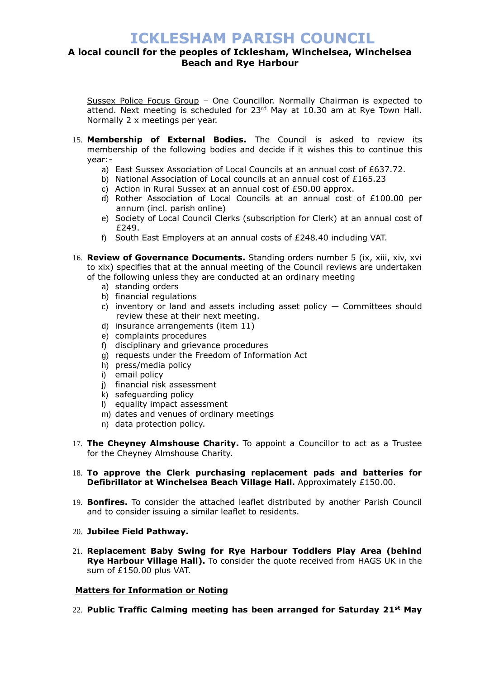### **A local council for the peoples of Icklesham, Winchelsea, Winchelsea Beach and Rye Harbour**

Sussex Police Focus Group – One Councillor. Normally Chairman is expected to attend. Next meeting is scheduled for  $23<sup>rd</sup>$  May at 10.30 am at Rye Town Hall. Normally 2 x meetings per year.

- 15. **Membership of External Bodies.** The Council is asked to review its membership of the following bodies and decide if it wishes this to continue this year:
	- a) East Sussex Association of Local Councils at an annual cost of £637.72.
	- b) National Association of Local councils at an annual cost of £165.23
	- c) Action in Rural Sussex at an annual cost of £50.00 approx.
	- d) Rother Association of Local Councils at an annual cost of £100.00 per annum (incl. parish online)
	- e) Society of Local Council Clerks (subscription for Clerk) at an annual cost of £249.
	- f) South East Employers at an annual costs of £248.40 including VAT.
- 16. **Review of Governance Documents.** Standing orders number 5 (ix, xiii, xiv, xvi to xix) specifies that at the annual meeting of the Council reviews are undertaken of the following unless they are conducted at an ordinary meeting
	- a) standing orders
	- b) financial regulations
	- c) inventory or land and assets including asset policy Committees should review these at their next meeting.
	- d) insurance arrangements (item 11)
	- e) complaints procedures
	- f) disciplinary and grievance procedures
	- g) requests under the Freedom of Information Act
	- h) press/media policy
	- i) email policy
	- j) financial risk assessment
	- k) safeguarding policy
	- l) equality impact assessment
	- m) dates and venues of ordinary meetings
	- n) data protection policy.
- 17. **The Cheyney Almshouse Charity.** To appoint a Councillor to act as a Trustee for the Cheyney Almshouse Charity.

#### 18. **To approve the Clerk purchasing replacement pads and batteries for Defibrillator at Winchelsea Beach Village Hall.** Approximately £150.00.

- 19. **Bonfires.** To consider the attached leaflet distributed by another Parish Council and to consider issuing a similar leaflet to residents.
- 20. **Jubilee Field Pathway.**
- 21. **Replacement Baby Swing for Rye Harbour Toddlers Play Area (behind Rye Harbour Village Hall).** To consider the quote received from HAGS UK in the sum of £150.00 plus VAT.

#### **Matters for Information or Noting**

22. **Public Traffic Calming meeting has been arranged for Saturday 21st May**